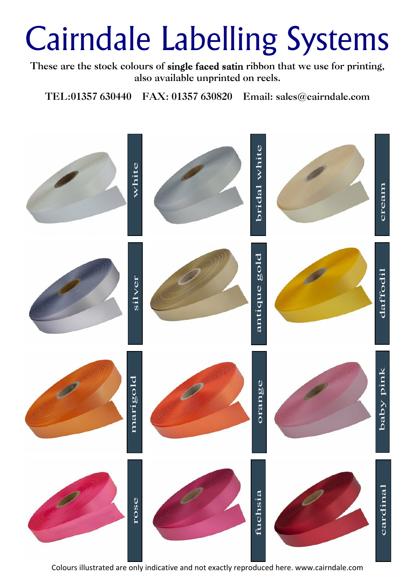These are the stock colours of single faced satin ribbon that we use for printing, **also available unprinted on reels.**

**TEL:01357 630440 FAX: 01357 630820 Email: sales@cairndale.com**



Colours illustrated are only indicative and not exactly reproduced here. www.cairndale.com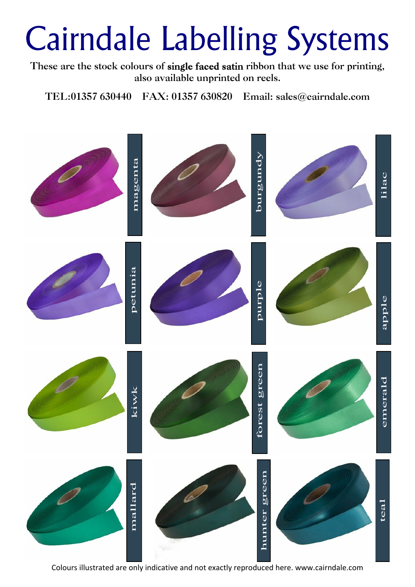These are the stock colours of single faced satin ribbon that we use for printing, **also available unprinted on reels.**

**TEL:01357 630440 FAX: 01357 630820 Email: sales@cairndale.com**

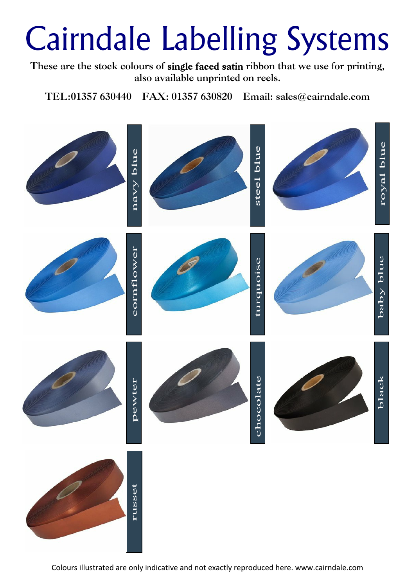These are the stock colours of single faced satin ribbon that we use for printing, **also available unprinted on reels.**

**TEL:01357 630440 FAX: 01357 630820 Email: sales@cairndale.com**